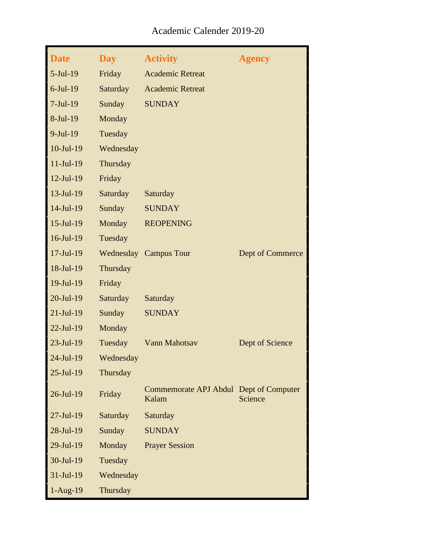| <b>Date</b>      | <b>Day</b>      | <b>Activity</b>                                 | <b>Agency</b>    |
|------------------|-----------------|-------------------------------------------------|------------------|
| $5-Jul-19$       | Friday          | <b>Academic Retreat</b>                         |                  |
| $6$ -Jul-19      | Saturday        | <b>Academic Retreat</b>                         |                  |
| $7-Jul-19$       | Sunday          | <b>SUNDAY</b>                                   |                  |
| 8-Jul-19         | Monday          |                                                 |                  |
| $9-Jul-19$       | Tuesday         |                                                 |                  |
| $10$ -Jul- $19$  | Wednesday       |                                                 |                  |
| $11-Jul-19$      | Thursday        |                                                 |                  |
| $12-Jul-19$      | Friday          |                                                 |                  |
| $13-Jul-19$      | <b>Saturday</b> | Saturday                                        |                  |
| $14$ -Jul-19     | Sunday          | <b>SUNDAY</b>                                   |                  |
| $15$ -Jul- $19$  | Monday          | <b>REOPENING</b>                                |                  |
| $16$ -Jul-19     | Tuesday         |                                                 |                  |
| $17 -$ Jul $-19$ |                 | Wednesday Campus Tour                           | Dept of Commerce |
| 18-Jul-19        | Thursday        |                                                 |                  |
| 19-Jul-19        | Friday          |                                                 |                  |
| $20$ -Jul-19     | Saturday        | Saturday                                        |                  |
| $21-Jul-19$      | Sunday          | <b>SUNDAY</b>                                   |                  |
| $22$ -Jul-19     | Monday          |                                                 |                  |
| $23$ -Jul-19     | Tuesday         | Vann Mahotsav                                   | Dept of Science  |
| $24$ -Jul-19     | Wednesday       |                                                 |                  |
| $25$ -Jul-19     | Thursday        |                                                 |                  |
| $26$ -Jul-19     | Friday          | Commemorate APJ Abdul Dept of Computer<br>Kalam | Science          |
| $27$ -Jul-19     | Saturday        | Saturday                                        |                  |
| 28-Jul-19        | Sunday          | <b>SUNDAY</b>                                   |                  |
| 29-Jul-19        | Monday          | <b>Prayer Session</b>                           |                  |
| 30-Jul-19        | Tuesday         |                                                 |                  |
| 31-Jul-19        | Wednesday       |                                                 |                  |
| $1-Aug-19$       | Thursday        |                                                 |                  |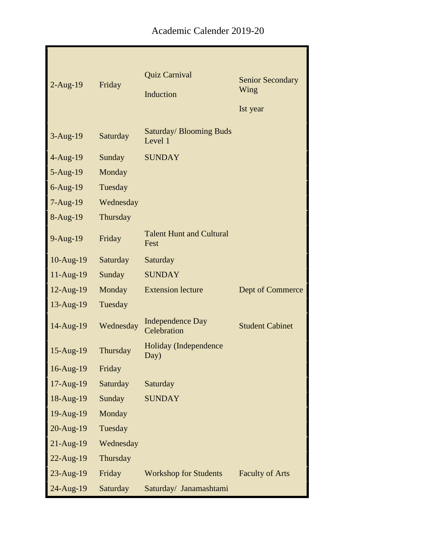|                 |           | Quiz Carnival                             | <b>Senior Secondary</b> |
|-----------------|-----------|-------------------------------------------|-------------------------|
| $2-Aug-19$      | Friday    | Induction                                 | Wing                    |
|                 |           |                                           | Ist year                |
| $3-Aug-19$      | Saturday  | <b>Saturday/ Blooming Buds</b><br>Level 1 |                         |
| $4-Aug-19$      | Sunday    | <b>SUNDAY</b>                             |                         |
| $5-Aug-19$      | Monday    |                                           |                         |
| $6$ -Aug-19     | Tuesday   |                                           |                         |
| $7-Aug-19$      | Wednesday |                                           |                         |
| 8-Aug-19        | Thursday  |                                           |                         |
| 9-Aug-19        | Friday    | <b>Talent Hunt and Cultural</b><br>Fest   |                         |
| $10-Aug-19$     | Saturday  | Saturday                                  |                         |
| $11-Aug-19$     | Sunday    | <b>SUNDAY</b>                             |                         |
| 12-Aug-19       | Monday    | <b>Extension lecture</b>                  | Dept of Commerce        |
| $13$ -Aug- $19$ | Tuesday   |                                           |                         |
| $14$ -Aug- $19$ | Wednesday | <b>Independence Day</b><br>Celebration    | <b>Student Cabinet</b>  |
| 15-Aug-19       | Thursday  | <b>Holiday</b> (Independence<br>Day)      |                         |
| 16-Aug-19       | Friday    |                                           |                         |
| 17-Aug-19       | Saturday  | Saturday                                  |                         |
| 18-Aug-19       | Sunday    | <b>SUNDAY</b>                             |                         |
| 19-Aug-19       | Monday    |                                           |                         |
| 20-Aug-19       | Tuesday   |                                           |                         |
| $21-Aug-19$     | Wednesday |                                           |                         |
| $22$ -Aug-19    | Thursday  |                                           |                         |
| 23-Aug-19       | Friday    | <b>Workshop for Students</b>              | <b>Faculty of Arts</b>  |
| 24-Aug-19       | Saturday  | Saturday/ Janamashtami                    |                         |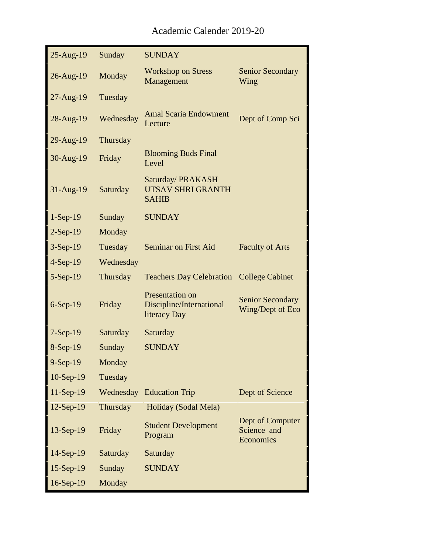| 25-Aug-19    | Sunday    | <b>SUNDAY</b>                                                      |                                              |
|--------------|-----------|--------------------------------------------------------------------|----------------------------------------------|
| $26$ -Aug-19 | Monday    | <b>Workshop on Stress</b><br>Management                            | <b>Senior Secondary</b><br>Wing              |
| $27$ -Aug-19 | Tuesday   |                                                                    |                                              |
| 28-Aug-19    | Wednesday | <b>Amal Scaria Endowment</b><br>Lecture                            | Dept of Comp Sci                             |
| 29-Aug-19    | Thursday  |                                                                    |                                              |
| $30-Aug-19$  | Friday    | <b>Blooming Buds Final</b><br>Level                                |                                              |
| $31-Aug-19$  | Saturday  | Saturday/PRAKASH<br><b>UTSAV SHRI GRANTH</b><br><b>SAHIB</b>       |                                              |
| $1-Sep-19$   | Sunday    | <b>SUNDAY</b>                                                      |                                              |
| $2-Sep-19$   | Monday    |                                                                    |                                              |
| $3-Sep-19$   | Tuesday   | <b>Seminar on First Aid</b>                                        | <b>Faculty of Arts</b>                       |
| $4-Sep-19$   | Wednesday |                                                                    |                                              |
| $5-Sep-19$   | Thursday  | <b>Teachers Day Celebration</b>                                    | <b>College Cabinet</b>                       |
| $6-Sep-19$   | Friday    | <b>Presentation on</b><br>Discipline/International<br>literacy Day | <b>Senior Secondary</b><br>Wing/Dept of Eco  |
| $7-Sep-19$   | Saturday  | Saturday                                                           |                                              |
| 8-Sep-19     | Sunday    | <b>SUNDAY</b>                                                      |                                              |
| 9-Sep-19     | Monday    |                                                                    |                                              |
| $10-Sep-19$  | Tuesday   |                                                                    |                                              |
| $11-Sep-19$  | Wednesday | <b>Education Trip</b>                                              | Dept of Science                              |
| $12$ -Sep-19 | Thursday  | Holiday (Sodal Mela)                                               |                                              |
| $13-Sep-19$  | Friday    | <b>Student Development</b><br>Program                              | Dept of Computer<br>Science and<br>Economics |
| 14-Sep-19    | Saturday  | Saturday                                                           |                                              |
| $15-Sep-19$  | Sunday    | <b>SUNDAY</b>                                                      |                                              |
| 16-Sep-19    | Monday    |                                                                    |                                              |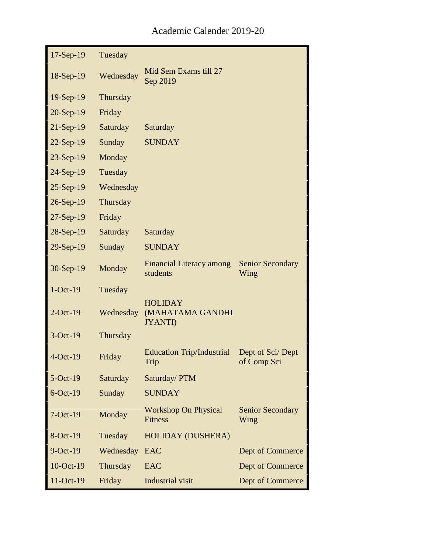| $17-Sep-19$ | Tuesday   |                                                      |                                 |
|-------------|-----------|------------------------------------------------------|---------------------------------|
| $18-Sep-19$ | Wednesday | Mid Sem Exams till 27<br>Sep 2019                    |                                 |
| $19-Sep-19$ | Thursday  |                                                      |                                 |
| 20-Sep-19   | Friday    |                                                      |                                 |
| $21-Sep-19$ | Saturday  | Saturday                                             |                                 |
| 22-Sep-19   | Sunday    | <b>SUNDAY</b>                                        |                                 |
| 23-Sep-19   | Monday    |                                                      |                                 |
| 24-Sep-19   | Tuesday   |                                                      |                                 |
| $25-Sep-19$ | Wednesday |                                                      |                                 |
| 26-Sep-19   | Thursday  |                                                      |                                 |
| $27-Sep-19$ | Friday    |                                                      |                                 |
| $28-Sep-19$ | Saturday  | Saturday                                             |                                 |
| 29-Sep-19   | Sunday    | <b>SUNDAY</b>                                        |                                 |
| 30-Sep-19   | Monday    | <b>Financial Literacy among</b><br>students          | <b>Senior Secondary</b><br>Wing |
| $1-Oct-19$  | Tuesday   |                                                      |                                 |
| $2$ -Oct-19 | Wednesday | <b>HOLIDAY</b><br>(MAHATAMA GANDHI<br><b>JYANTI)</b> |                                 |
| 3-Oct-19    | Thursday  |                                                      |                                 |
| $4-Oct-19$  | Friday    | <b>Education Trip/Industrial</b><br>Trip             | Dept of Sci/Dept<br>of Comp Sci |
| $5-Oct-19$  | Saturday  | Saturday/PTM                                         |                                 |
| $6$ -Oct-19 | Sunday    | <b>SUNDAY</b>                                        |                                 |
| $7-Oct-19$  | Monday    | <b>Workshop On Physical</b><br><b>Fitness</b>        | <b>Senior Secondary</b><br>Wing |
| 8-Oct-19    | Tuesday   | <b>HOLIDAY (DUSHERA)</b>                             |                                 |
| $9$ -Oct-19 | Wednesday | <b>EAC</b>                                           | Dept of Commerce                |
| 10-Oct-19   | Thursday  | EAC                                                  | Dept of Commerce                |
| 11-Oct-19   | Friday    | <b>Industrial visit</b>                              | Dept of Commerce                |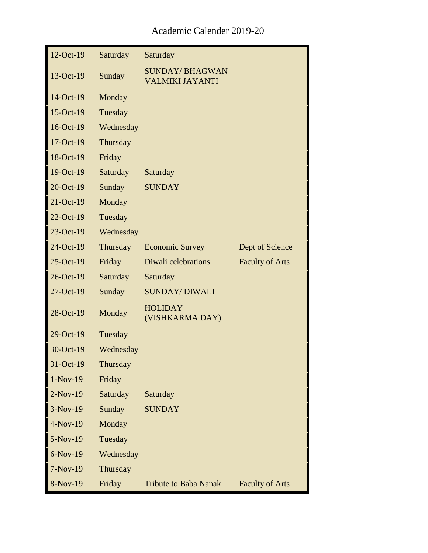| $12$ -Oct-19 | Saturday  | Saturday                                        |                        |
|--------------|-----------|-------------------------------------------------|------------------------|
| 13-Oct-19    | Sunday    | <b>SUNDAY/BHAGWAN</b><br><b>VALMIKI JAYANTI</b> |                        |
| 14-Oct-19    | Monday    |                                                 |                        |
| 15-Oct-19    | Tuesday   |                                                 |                        |
| 16-Oct-19    | Wednesday |                                                 |                        |
| 17-Oct-19    | Thursday  |                                                 |                        |
| 18-Oct-19    | Friday    |                                                 |                        |
| 19-Oct-19    | Saturday  | Saturday                                        |                        |
| 20-Oct-19    | Sunday    | <b>SUNDAY</b>                                   |                        |
| 21-Oct-19    | Monday    |                                                 |                        |
| 22-Oct-19    | Tuesday   |                                                 |                        |
| 23-Oct-19    | Wednesday |                                                 |                        |
| 24-Oct-19    | Thursday  | <b>Economic Survey</b>                          | Dept of Science        |
| 25-Oct-19    | Friday    | Diwali celebrations                             | <b>Faculty of Arts</b> |
| 26-Oct-19    | Saturday  | Saturday                                        |                        |
| 27-Oct-19    | Sunday    | <b>SUNDAY/ DIWALI</b>                           |                        |
| 28-Oct-19    | Monday    | <b>HOLIDAY</b><br>(VISHKARMA DAY)               |                        |
| 29-Oct-19    | Tuesday   |                                                 |                        |
| 30-Oct-19    | Wednesday |                                                 |                        |
| 31-Oct-19    | Thursday  |                                                 |                        |
| $1-Nov-19$   | Friday    |                                                 |                        |
| $2-Nov-19$   | Saturday  | Saturday                                        |                        |
| $3-Nov-19$   | Sunday    | <b>SUNDAY</b>                                   |                        |
| $4-Nov-19$   | Monday    |                                                 |                        |
| 5-Nov-19     | Tuesday   |                                                 |                        |
| $6-Nov-19$   | Wednesday |                                                 |                        |
| $7-Nov-19$   | Thursday  |                                                 |                        |
| 8-Nov-19     | Friday    | <b>Tribute to Baba Nanak</b>                    | <b>Faculty of Arts</b> |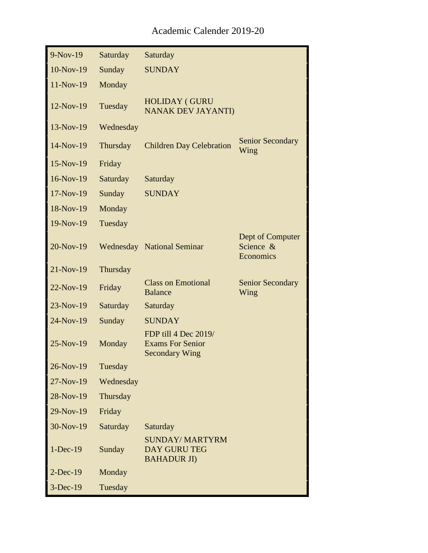| $9-Nov-19$  | Saturday  | Saturday                                                                 |                                            |
|-------------|-----------|--------------------------------------------------------------------------|--------------------------------------------|
| $10-Nov-19$ | Sunday    | <b>SUNDAY</b>                                                            |                                            |
| 11-Nov-19   | Monday    |                                                                          |                                            |
| $12-Nov-19$ | Tuesday   | <b>HOLIDAY (GURU</b><br><b>NANAK DEV JAYANTI)</b>                        |                                            |
| $13-Nov-19$ | Wednesday |                                                                          |                                            |
| $14-Nov-19$ | Thursday  | <b>Children Day Celebration</b>                                          | <b>Senior Secondary</b><br>Wing            |
| $15-Nov-19$ | Friday    |                                                                          |                                            |
| $16-Nov-19$ | Saturday  | Saturday                                                                 |                                            |
| $17-Nov-19$ | Sunday    | <b>SUNDAY</b>                                                            |                                            |
| 18-Nov-19   | Monday    |                                                                          |                                            |
| 19-Nov-19   | Tuesday   |                                                                          |                                            |
| $20-Nov-19$ |           | <b>Wednesday</b> National Seminar                                        | Dept of Computer<br>Science &<br>Economics |
| $21-Nov-19$ | Thursday  |                                                                          |                                            |
| $22-Nov-19$ | Friday    | <b>Class on Emotional</b><br><b>Balance</b>                              | <b>Senior Secondary</b><br>Wing            |
| $23-Nov-19$ | Saturday  | Saturday                                                                 |                                            |
| $24-Nov-19$ | Sunday    | <b>SUNDAY</b>                                                            |                                            |
| $25-Nov-19$ | Monday    | FDP till 4 Dec 2019/<br><b>Exams For Senior</b><br><b>Secondary Wing</b> |                                            |
| 26-Nov-19   | Tuesday   |                                                                          |                                            |
| $27-Nov-19$ | Wednesday |                                                                          |                                            |
| 28-Nov-19   | Thursday  |                                                                          |                                            |
| 29-Nov-19   | Friday    |                                                                          |                                            |
| 30-Nov-19   | Saturday  | Saturday                                                                 |                                            |
| $1-Dec-19$  | Sunday    | <b>SUNDAY/ MARTYRM</b><br><b>DAY GURU TEG</b><br><b>BAHADUR JI)</b>      |                                            |
| $2-Dec-19$  | Monday    |                                                                          |                                            |
| $3-Dec-19$  | Tuesday   |                                                                          |                                            |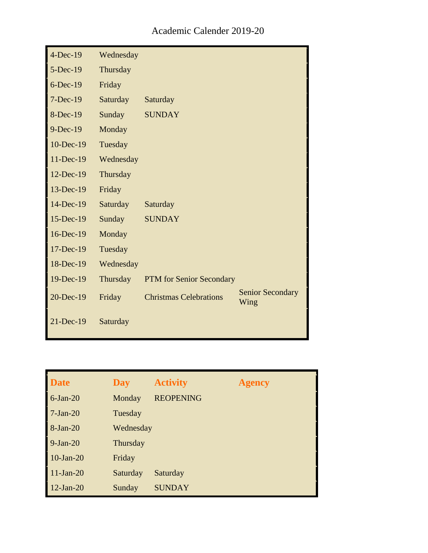| $4-Dec-19$  | Wednesday |                                 |                                 |
|-------------|-----------|---------------------------------|---------------------------------|
| $5-Dec-19$  | Thursday  |                                 |                                 |
| $6$ -Dec-19 | Friday    |                                 |                                 |
| $7-Dec-19$  | Saturday  | Saturday                        |                                 |
| 8-Dec-19    | Sunday    | <b>SUNDAY</b>                   |                                 |
| $9-Dec-19$  | Monday    |                                 |                                 |
| 10-Dec-19   | Tuesday   |                                 |                                 |
| 11-Dec-19   | Wednesday |                                 |                                 |
| 12-Dec-19   | Thursday  |                                 |                                 |
| 13-Dec-19   | Friday    |                                 |                                 |
| 14-Dec-19   | Saturday  | Saturday                        |                                 |
| 15-Dec-19   | Sunday    | <b>SUNDAY</b>                   |                                 |
| 16-Dec-19   | Monday    |                                 |                                 |
| 17-Dec-19   | Tuesday   |                                 |                                 |
| 18-Dec-19   | Wednesday |                                 |                                 |
| 19-Dec-19   | Thursday  | <b>PTM</b> for Senior Secondary |                                 |
| 20-Dec-19   | Friday    | <b>Christmas Celebrations</b>   | <b>Senior Secondary</b><br>Wing |
| 21-Dec-19   | Saturday  |                                 |                                 |

| <b>Date</b>  | <b>Day</b> | <b>Activity</b>  | <b>Agency</b> |
|--------------|------------|------------------|---------------|
| $6$ -Jan-20  | Monday     | <b>REOPENING</b> |               |
| $7-Jan-20$   | Tuesday    |                  |               |
| $8-Jan-20$   | Wednesday  |                  |               |
| $9-Jan-20$   | Thursday   |                  |               |
| $10$ -Jan-20 | Friday     |                  |               |
| $11-Jan-20$  | Saturday   | Saturday         |               |
| $12-Jan-20$  | Sunday     | <b>SUNDAY</b>    |               |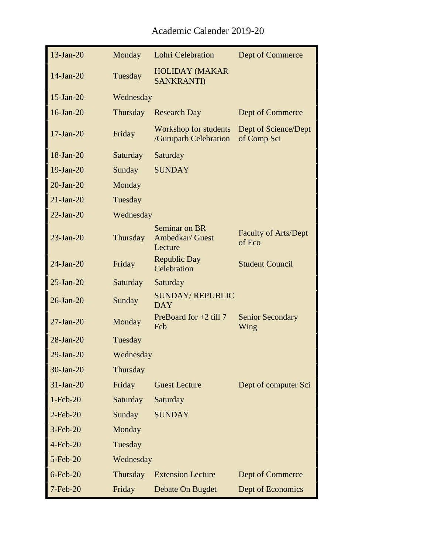| $13$ -Jan-20    | Monday    | <b>Lohri Celebration</b>                       | Dept of Commerce                      |
|-----------------|-----------|------------------------------------------------|---------------------------------------|
| $14$ -Jan-20    | Tuesday   | <b>HOLIDAY (MAKAR</b><br><b>SANKRANTI)</b>     |                                       |
| $15$ -Jan-20    | Wednesday |                                                |                                       |
| $16$ -Jan-20    | Thursday  | <b>Research Day</b>                            | Dept of Commerce                      |
| $17-Jan-20$     | Friday    | Workshop for students<br>/Guruparb Celebration | Dept of Science/Dept<br>of Comp Sci   |
| $18$ -Jan-20    | Saturday  | Saturday                                       |                                       |
| $19$ -Jan-20    | Sunday    | <b>SUNDAY</b>                                  |                                       |
| $20$ -Jan- $20$ | Monday    |                                                |                                       |
| $21-Jan-20$     | Tuesday   |                                                |                                       |
| $22-Jan-20$     | Wednesday |                                                |                                       |
| $23$ -Jan-20    | Thursday  | Seminar on BR<br>Ambedkar/ Guest<br>Lecture    | <b>Faculty of Arts/Dept</b><br>of Eco |
| $24$ -Jan-20    | Friday    | <b>Republic Day</b><br>Celebration             | <b>Student Council</b>                |
| $25$ -Jan- $20$ | Saturday  | Saturday                                       |                                       |
| $26$ -Jan- $20$ | Sunday    | <b>SUNDAY/REPUBLIC</b><br><b>DAY</b>           |                                       |
| $27$ -Jan- $20$ | Monday    | PreBoard for $+2$ till 7<br>Feb                | <b>Senior Secondary</b><br>Wing       |
| $28$ -Jan- $20$ | Tuesday   |                                                |                                       |
| $29$ -Jan- $20$ | Wednesday |                                                |                                       |
| 30-Jan-20       | Thursday  |                                                |                                       |
| $31-Jan-20$     | Friday    | <b>Guest Lecture</b>                           | Dept of computer Sci                  |
| $1-Feb-20$      | Saturday  | Saturday                                       |                                       |
| $2$ -Feb-20     | Sunday    | <b>SUNDAY</b>                                  |                                       |
| 3-Feb-20        | Monday    |                                                |                                       |
| 4-Feb-20        | Tuesday   |                                                |                                       |
| $5$ -Feb-20     | Wednesday |                                                |                                       |
| $6$ -Feb-20     | Thursday  | <b>Extension Lecture</b>                       | Dept of Commerce                      |
| 7-Feb-20        | Friday    | Debate On Bugdet                               | Dept of Economics                     |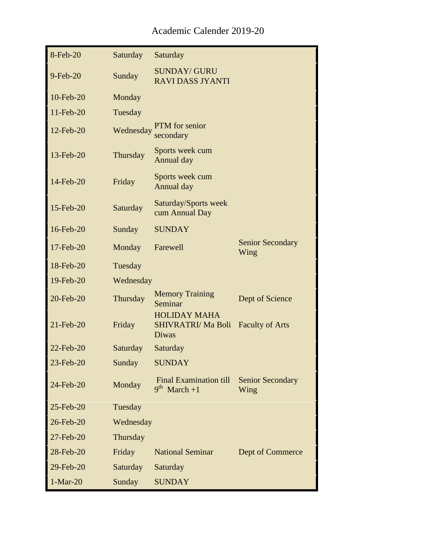| 8-Feb-20     | Saturday        | Saturday                                                       |                                 |
|--------------|-----------------|----------------------------------------------------------------|---------------------------------|
| 9-Feb-20     | Sunday          | <b>SUNDAY/ GURU</b><br><b>RAVIDASS JYANTI</b>                  |                                 |
| 10-Feb-20    | Monday          |                                                                |                                 |
| $11$ -Feb-20 | Tuesday         |                                                                |                                 |
| 12-Feb-20    | Wednesday       | PTM for senior<br>secondary                                    |                                 |
| 13-Feb-20    | Thursday        | Sports week cum<br>Annual day                                  |                                 |
| 14-Feb-20    | Friday          | Sports week cum<br>Annual day                                  |                                 |
| 15-Feb-20    | Saturday        | Saturday/Sports week<br>cum Annual Day                         |                                 |
| 16-Feb-20    | Sunday          | <b>SUNDAY</b>                                                  |                                 |
| 17-Feb-20    | Monday          | Farewell                                                       | <b>Senior Secondary</b><br>Wing |
| 18-Feb-20    | Tuesday         |                                                                |                                 |
| 19-Feb-20    | Wednesday       |                                                                |                                 |
| 20-Feb-20    | Thursday        | <b>Memory Training</b><br>Seminar                              | Dept of Science                 |
| 21-Feb-20    | Friday          | <b>HOLIDAY MAHA</b><br><b>SHIVRATRI/ Ma Boli</b><br>Diwas      | <b>Faculty of Arts</b>          |
| 22-Feb-20    | Saturday        | Saturday                                                       |                                 |
| 23-Feb-20    | Sunday          | <b>SUNDAY</b>                                                  |                                 |
| 24-Feb-20    | Monday          | <b>Final Examination till</b><br>q <sup>th</sup><br>$March +1$ | <b>Senior Secondary</b><br>Wing |
| 25-Feb-20    | Tuesday         |                                                                |                                 |
| 26-Feb-20    | Wednesday       |                                                                |                                 |
| 27-Feb-20    | Thursday        |                                                                |                                 |
| 28-Feb-20    | Friday          | <b>National Seminar</b>                                        | Dept of Commerce                |
| 29-Feb-20    | <b>Saturday</b> | Saturday                                                       |                                 |
| $1-Mar-20$   | Sunday          | <b>SUNDAY</b>                                                  |                                 |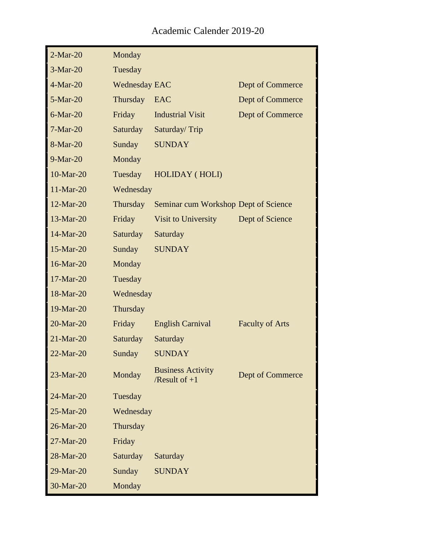| $2-Mar-20$   | Monday               |                                             |                        |
|--------------|----------------------|---------------------------------------------|------------------------|
| $3-Mar-20$   | Tuesday              |                                             |                        |
| $4-Mar-20$   | <b>Wednesday EAC</b> |                                             | Dept of Commerce       |
| 5-Mar-20     | Thursday             | EAC                                         | Dept of Commerce       |
| $6$ -Mar-20  | Friday               | <b>Industrial Visit</b>                     | Dept of Commerce       |
| $7-Mar-20$   | Saturday             | Saturday/Trip                               |                        |
| 8-Mar-20     | Sunday               | <b>SUNDAY</b>                               |                        |
| $9-Mar-20$   | Monday               |                                             |                        |
| 10-Mar-20    | Tuesday              | <b>HOLIDAY</b> (HOLI)                       |                        |
| 11-Mar-20    | Wednesday            |                                             |                        |
| 12-Mar-20    | Thursday             | Seminar cum Workshop Dept of Science        |                        |
| 13-Mar-20    | Friday               | Visit to University                         | Dept of Science        |
| 14-Mar-20    | Saturday             | Saturday                                    |                        |
| 15-Mar-20    | Sunday               | <b>SUNDAY</b>                               |                        |
| 16-Mar-20    | Monday               |                                             |                        |
| 17-Mar-20    | Tuesday              |                                             |                        |
| 18-Mar-20    | Wednesday            |                                             |                        |
| 19-Mar-20    | Thursday             |                                             |                        |
| 20-Mar-20    | Friday               | <b>English Carnival</b>                     | <b>Faculty of Arts</b> |
| 21-Mar-20    | Saturday             | Saturday                                    |                        |
| $22-Mar-20$  | Sunday               | <b>SUNDAY</b>                               |                        |
| $23-Mar-20$  | Monday               | <b>Business Activity</b><br>/Result of $+1$ | Dept of Commerce       |
| 24-Mar-20    | Tuesday              |                                             |                        |
| $25-Mar-20$  | Wednesday            |                                             |                        |
| $26$ -Mar-20 | Thursday             |                                             |                        |
| $27-Mar-20$  | Friday               |                                             |                        |
| 28-Mar-20    | Saturday             | Saturday                                    |                        |
| 29-Mar-20    | Sunday               | <b>SUNDAY</b>                               |                        |
| 30-Mar-20    | Monday               |                                             |                        |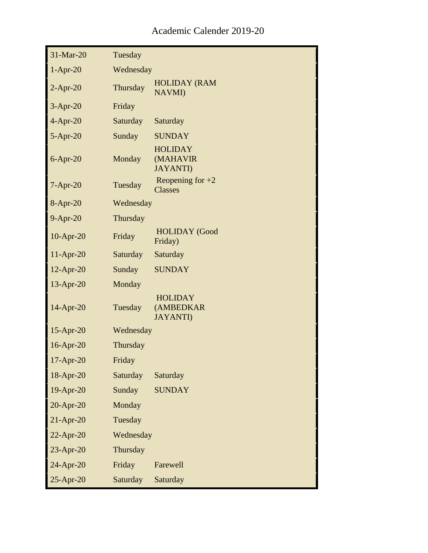| 31-Mar-20    | Tuesday   |                                                 |
|--------------|-----------|-------------------------------------------------|
| $1-Apr-20$   | Wednesday |                                                 |
| $2-Apr-20$   | Thursday  | <b>HOLIDAY (RAM</b><br><b>NAVMI)</b>            |
| $3-Apr-20$   | Friday    |                                                 |
| $4-Apr-20$   | Saturday  | Saturday                                        |
| $5-Apr-20$   | Sunday    | <b>SUNDAY</b>                                   |
| $6$ -Apr-20  | Monday    | <b>HOLIDAY</b><br>(MAHAVIR<br><b>JAYANTI)</b>   |
| $7-Apr-20$   | Tuesday   | Reopening for $+2$<br><b>Classes</b>            |
| 8-Apr-20     | Wednesday |                                                 |
| $9-Apr-20$   | Thursday  |                                                 |
| $10$ -Apr-20 | Friday    | <b>HOLIDAY</b> (Good<br>Friday)                 |
| $11-Apr-20$  | Saturday  | Saturday                                        |
| 12-Apr-20    | Sunday    | <b>SUNDAY</b>                                   |
| 13-Apr-20    | Monday    |                                                 |
| 14-Apr-20    | Tuesday   | <b>HOLIDAY</b><br>(AMBEDKAR<br><b>JAYANTI</b> ) |
| $15$ -Apr-20 | Wednesday |                                                 |
| 16-Apr-20    | Thursday  |                                                 |
| 17-Apr-20    | Friday    |                                                 |
| 18-Apr-20    | Saturday  | Saturday                                        |
| 19-Apr-20    | Sunday    | <b>SUNDAY</b>                                   |
| 20-Apr-20    | Monday    |                                                 |
| $21-Apr-20$  | Tuesday   |                                                 |
| $22$ -Apr-20 | Wednesday |                                                 |
| $23$ -Apr-20 | Thursday  |                                                 |
| 24-Apr-20    | Friday    | Farewell                                        |
| 25-Apr-20    | Saturday  | Saturday                                        |